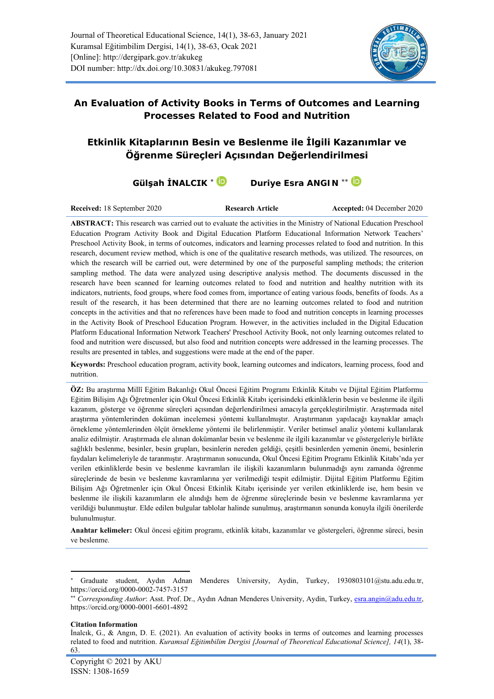

**An Evaluation of Activity Books in Terms of Outcomes and Learning Processes Related to Food and Nutrition**

# **Etkinlik Kitaplarının Besin ve Beslenme ile İlgili Kazanımlar ve Öğrenme Süreçleri Açısından Değerlendirilmesi**

# **Gülşah İNALCIK<sup>\*</sup> Dendiye Esra ANGIN<sup>\*\*</sup> Dendiye Esra ANGIN**

**Received:** 18 September 2020 **Research Article Accepted:** 04 December 2020

**ABSTRACT:** This research was carried out to evaluate the activities in the Ministry of National Education Preschool Education Program Activity Book and Digital Education Platform Educational Information Network Teachers' Preschool Activity Book, in terms of outcomes, indicators and learning processes related to food and nutrition. In this research, document review method, which is one of the qualitative research methods, was utilized. The resources, on which the research will be carried out, were determined by one of the purposeful sampling methods; the criterion sampling method. The data were analyzed using descriptive analysis method. The documents discussed in the research have been scanned for learning outcomes related to food and nutrition and healthy nutrition with its indicators, nutrients, food groups, where food comes from, importance of eating various foods, benefits of foods. As a result of the research, it has been determined that there are no learning outcomes related to food and nutrition concepts in the activities and that no references have been made to food and nutrition concepts in learning processes in the Activity Book of Preschool Education Program. However, in the activities included in the Digital Education Platform Educational Information Network Teachers' Preschool Activity Book, not only learning outcomes related to food and nutrition were discussed, but also food and nutrition concepts were addressed in the learning processes. The results are presented in tables, and suggestions were made at the end of the paper.

**Keywords:** Preschool education program, activity book, learning outcomes and indicators, learning process, food and nutrition.

**ÖZ:** Bu araştırma Millî Eğitim Bakanlığı Okul Öncesi Eğitim Programı Etkinlik Kitabı ve Dijital Eğitim Platformu Eğitim Bilişim Ağı Öğretmenler için Okul Öncesi Etkinlik Kitabı içerisindeki etkinliklerin besin ve beslenme ile ilgili kazanım, gösterge ve öğrenme süreçleri açısından değerlendirilmesi amacıyla gerçekleştirilmiştir. Araştırmada nitel araştırma yöntemlerinden doküman incelemesi yöntemi kullanılmıştır. Araştırmanın yapılacağı kaynaklar amaçlı örnekleme yöntemlerinden ölçüt örnekleme yöntemi ile belirlenmiştir. Veriler betimsel analiz yöntemi kullanılarak analiz edilmiştir. Araştırmada ele alınan dokümanlar besin ve beslenme ile ilgili kazanımlar ve göstergeleriyle birlikte sağlıklı beslenme, besinler, besin grupları, besinlerin nereden geldiği, çeşitli besinlerden yemenin önemi, besinlerin faydaları kelimeleriyle de taranmıştır. Araştırmanın sonucunda, Okul Öncesi Eğitim Programı Etkinlik Kitabı'nda yer verilen etkinliklerde besin ve beslenme kavramları ile ilişkili kazanımların bulunmadığı aynı zamanda öğrenme süreçlerinde de besin ve beslenme kavramlarına yer verilmediği tespit edilmiştir. Dijital Eğitim Platformu Eğitim Bilişim Ağı Öğretmenler için Okul Öncesi Etkinlik Kitabı içerisinde yer verilen etkinliklerde ise, hem besin ve beslenme ile ilişkili kazanımların ele alındığı hem de öğrenme süreçlerinde besin ve beslenme kavramlarına yer verildiği bulunmuştur. Elde edilen bulgular tablolar halinde sunulmuş, araştırmanın sonunda konuyla ilgili önerilerde bulunulmuştur.

**Anahtar kelimeler:** Okul öncesi eğitim programı, etkinlik kitabı, kazanımlar ve göstergeleri, öğrenme süreci, besin ve beslenme.

**Citation Information**

Graduate student, Aydın Adnan Menderes University, Aydin, Turkey, 1930803101@stu.adu.edu.tr, https://orcid.org/0000-0002-7457-3157

*Corresponding Author*: Asst. Prof. Dr., Aydın Adnan Menderes University, Aydin, Turkey, [esra.angin@adu.edu.tr,](mailto:esra.angin@adu.edu.tr) https://orcid.org/0000-0001-6601-4892

İnalcık, G., & Angın, D. E. (2021). An evaluation of activity books in terms of outcomes and learning processes related to food and nutrition. *Kuramsal Eğitimbilim Dergisi [Journal of Theoretical Educational Science], 14*(1), 38- 63.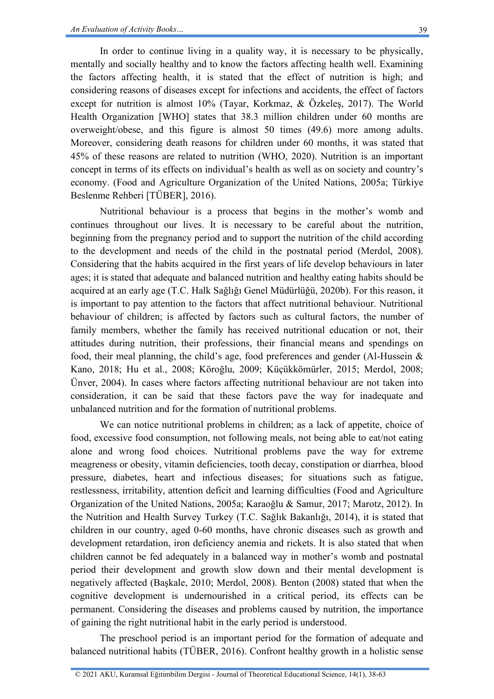In order to continue living in a quality way, it is necessary to be physically, mentally and socially healthy and to know the factors affecting health well. Examining the factors affecting health, it is stated that the effect of nutrition is high; and considering reasons of diseases except for infections and accidents, the effect of factors except for nutrition is almost 10% (Tayar, Korkmaz, & Özkeleş, 2017). The World Health Organization [WHO] states that 38.3 million children under 60 months are overweight/obese, and this figure is almost 50 times (49.6) more among adults. Moreover, considering death reasons for children under 60 months, it was stated that 45% of these reasons are related to nutrition (WHO, 2020). Nutrition is an important concept in terms of its effects on individual's health as well as on society and country's economy. (Food and Agriculture Organization of the United Nations, 2005a; Türkiye Beslenme Rehberi [TÜBER], 2016).

Nutritional behaviour is a process that begins in the mother's womb and continues throughout our lives. It is necessary to be careful about the nutrition, beginning from the pregnancy period and to support the nutrition of the child according to the development and needs of the child in the postnatal period (Merdol, 2008). Considering that the habits acquired in the first years of life develop behaviours in later ages; it is stated that adequate and balanced nutrition and healthy eating habits should be acquired at an early age (T.C. Halk Sağlığı Genel Müdürlüğü, 2020b). For this reason, it is important to pay attention to the factors that affect nutritional behaviour. Nutritional behaviour of children; is affected by factors such as cultural factors, the number of family members, whether the family has received nutritional education or not, their attitudes during nutrition, their professions, their financial means and spendings on food, their meal planning, the child's age, food preferences and gender (Al-Hussein  $\&$ Kano, 2018; Hu et al., 2008; Köroğlu, 2009; Küçükkömürler, 2015; Merdol, 2008; Ünver, 2004). In cases where factors affecting nutritional behaviour are not taken into consideration, it can be said that these factors pave the way for inadequate and unbalanced nutrition and for the formation of nutritional problems.

We can notice nutritional problems in children; as a lack of appetite, choice of food, excessive food consumption, not following meals, not being able to eat/not eating alone and wrong food choices. Nutritional problems pave the way for extreme meagreness or obesity, vitamin deficiencies, tooth decay, constipation or diarrhea, blood pressure, diabetes, heart and infectious diseases; for situations such as fatigue, restlessness, irritability, attention deficit and learning difficulties (Food and Agriculture Organization of the United Nations, 2005a; Karaoğlu & Samur, 2017; Marotz, 2012). In the Nutrition and Health Survey Turkey (T.C. Sağlık Bakanlığı, 2014), it is stated that children in our country, aged 0-60 months, have chronic diseases such as growth and development retardation, iron deficiency anemia and rickets. It is also stated that when children cannot be fed adequately in a balanced way in mother's womb and postnatal period their development and growth slow down and their mental development is negatively affected (Başkale, 2010; Merdol, 2008). Benton (2008) stated that when the cognitive development is undernourished in a critical period, its effects can be permanent. Considering the diseases and problems caused by nutrition, the importance of gaining the right nutritional habit in the early period is understood.

The preschool period is an important period for the formation of adequate and balanced nutritional habits (TÜBER, 2016). Confront healthy growth in a holistic sense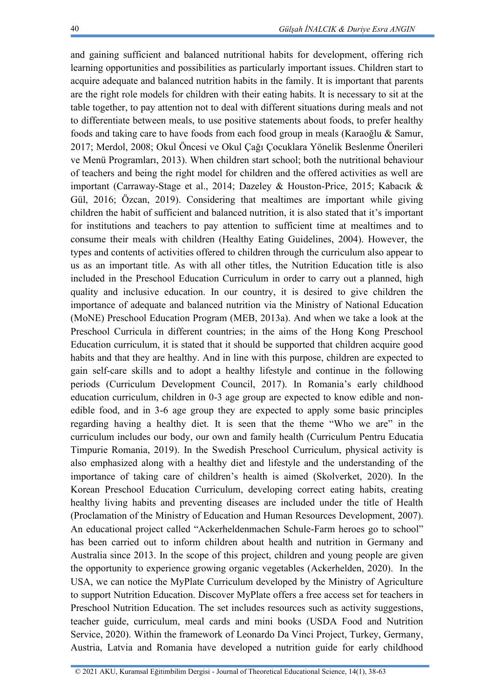and gaining sufficient and balanced nutritional habits for development, offering rich learning opportunities and possibilities as particularly important issues. Children start to acquire adequate and balanced nutrition habits in the family. It is important that parents are the right role models for children with their eating habits. It is necessary to sit at the table together, to pay attention not to deal with different situations during meals and not to differentiate between meals, to use positive statements about foods, to prefer healthy foods and taking care to have foods from each food group in meals (Karaoğlu & Samur, 2017; Merdol, 2008; Okul Öncesi ve Okul Çağı Çocuklara Yönelik Beslenme Önerileri ve Menü Programları, 2013). When children start school; both the nutritional behaviour of teachers and being the right model for children and the offered activities as well are important (Carraway-Stage et al., 2014; Dazeley & Houston-Price, 2015; Kabacık & Gül, 2016; Özcan, 2019). Considering that mealtimes are important while giving children the habit of sufficient and balanced nutrition, it is also stated that it's important for institutions and teachers to pay attention to sufficient time at mealtimes and to consume their meals with children (Healthy Eating Guidelines, 2004). However, the types and contents of activities offered to children through the curriculum also appear to us as an important title. As with all other titles, the Nutrition Education title is also included in the Preschool Education Curriculum in order to carry out a planned, high quality and inclusive education. In our country, it is desired to give children the importance of adequate and balanced nutrition via the Ministry of National Education (MoNE) Preschool Education Program (MEB, 2013a). And when we take a look at the Preschool Curricula in different countries; in the aims of the Hong Kong Preschool Education curriculum, it is stated that it should be supported that children acquire good habits and that they are healthy. And in line with this purpose, children are expected to gain self-care skills and to adopt a healthy lifestyle and continue in the following periods (Curriculum Development Council, 2017). In Romania's early childhood education curriculum, children in 0-3 age group are expected to know edible and nonedible food, and in 3-6 age group they are expected to apply some basic principles regarding having a healthy diet. It is seen that the theme "Who we are" in the curriculum includes our body, our own and family health (Curriculum Pentru Educatia Timpurie Romania, 2019). In the Swedish Preschool Curriculum, physical activity is also emphasized along with a healthy diet and lifestyle and the understanding of the importance of taking care of children's health is aimed (Skolverket, 2020). In the Korean Preschool Education Curriculum, developing correct eating habits, creating healthy living habits and preventing diseases are included under the title of Health (Proclamation of the Ministry of Education and Human Resources Development, 2007). An educational project called "Ackerheldenmachen Schule-Farm heroes go to school" has been carried out to inform children about health and nutrition in Germany and Australia since 2013. In the scope of this project, children and young people are given the opportunity to experience growing organic vegetables (Ackerhelden, 2020). In the USA, we can notice the MyPlate Curriculum developed by the Ministry of Agriculture to support Nutrition Education. Discover MyPlate offers a free access set for teachers in Preschool Nutrition Education. The set includes resources such as activity suggestions, teacher guide, curriculum, meal cards and mini books (USDA Food and Nutrition Service, 2020). Within the framework of Leonardo Da Vinci Project, Turkey, Germany, Austria, Latvia and Romania have developed a nutrition guide for early childhood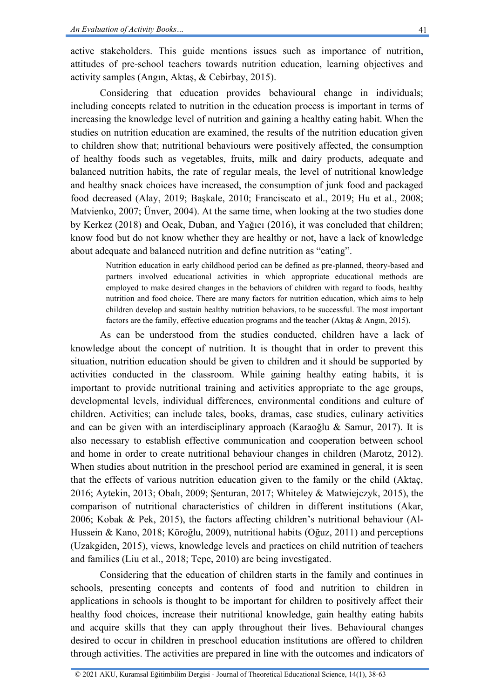active stakeholders. This guide mentions issues such as importance of nutrition, attitudes of pre-school teachers towards nutrition education, learning objectives and activity samples (Angın, Aktaş, & Cebirbay, 2015).

Considering that education provides behavioural change in individuals; including concepts related to nutrition in the education process is important in terms of increasing the knowledge level of nutrition and gaining a healthy eating habit. When the studies on nutrition education are examined, the results of the nutrition education given to children show that; nutritional behaviours were positively affected, the consumption of healthy foods such as vegetables, fruits, milk and dairy products, adequate and balanced nutrition habits, the rate of regular meals, the level of nutritional knowledge and healthy snack choices have increased, the consumption of junk food and packaged food decreased (Alay, 2019; Başkale, 2010; Franciscato et al., 2019; Hu et al., 2008; Matvienko, 2007; Ünver, 2004). At the same time, when looking at the two studies done by Kerkez (2018) and Ocak, Duban, and Yağıcı (2016), it was concluded that children; know food but do not know whether they are healthy or not, have a lack of knowledge about adequate and balanced nutrition and define nutrition as "eating".

Nutrition education in early childhood period can be defined as pre-planned, theory-based and partners involved educational activities in which appropriate educational methods are employed to make desired changes in the behaviors of children with regard to foods, healthy nutrition and food choice. There are many factors for nutrition education, which aims to help children develop and sustain healthy nutrition behaviors, to be successful. The most important factors are the family, effective education programs and the teacher (Aktaş & Angın, 2015).

As can be understood from the studies conducted, children have a lack of knowledge about the concept of nutrition. It is thought that in order to prevent this situation, nutrition education should be given to children and it should be supported by activities conducted in the classroom. While gaining healthy eating habits, it is important to provide nutritional training and activities appropriate to the age groups, developmental levels, individual differences, environmental conditions and culture of children. Activities; can include tales, books, dramas, case studies, culinary activities and can be given with an interdisciplinary approach (Karaoğlu & Samur, 2017). It is also necessary to establish effective communication and cooperation between school and home in order to create nutritional behaviour changes in children (Marotz, 2012). When studies about nutrition in the preschool period are examined in general, it is seen that the effects of various nutrition education given to the family or the child (Aktaç, 2016; Aytekin, 2013; Obalı, 2009; Şenturan, 2017; Whiteley & Matwiejczyk, 2015), the comparison of nutritional characteristics of children in different institutions (Akar, 2006; Kobak & Pek, 2015), the factors affecting children's nutritional behaviour (Al-Hussein & Kano, 2018; Köroğlu, 2009), nutritional habits (Oğuz, 2011) and perceptions (Uzakgiden, 2015), views, knowledge levels and practices on child nutrition of teachers and families (Liu et al., 2018; Tepe, 2010) are being investigated.

Considering that the education of children starts in the family and continues in schools, presenting concepts and contents of food and nutrition to children in applications in schools is thought to be important for children to positively affect their healthy food choices, increase their nutritional knowledge, gain healthy eating habits and acquire skills that they can apply throughout their lives. Behavioural changes desired to occur in children in preschool education institutions are offered to children through activities. The activities are prepared in line with the outcomes and indicators of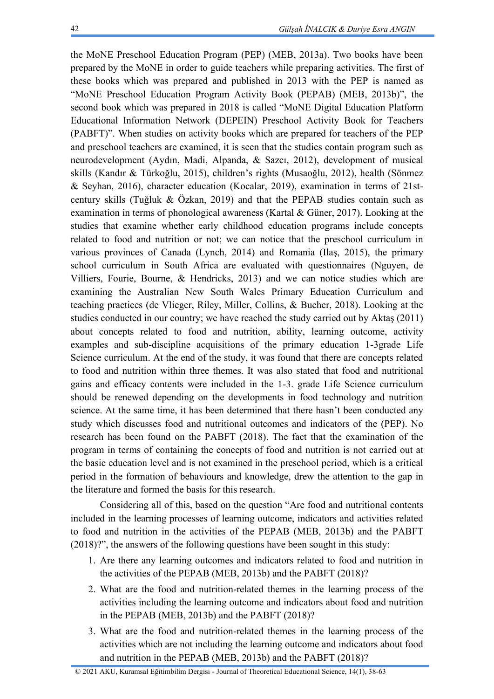the MoNE Preschool Education Program (PEP) (MEB, 2013a). Two books have been prepared by the MoNE in order to guide teachers while preparing activities. The first of these books which was prepared and published in 2013 with the PEP is named as "MoNE Preschool Education Program Activity Book (PEPAB) (MEB, 2013b)", the second book which was prepared in 2018 is called "MoNE Digital Education Platform Educational Information Network (DEPEIN) Preschool Activity Book for Teachers (PABFT)". When studies on activity books which are prepared for teachers of the PEP and preschool teachers are examined, it is seen that the studies contain program such as neurodevelopment (Aydın, Madi, Alpanda, & Sazcı, 2012), development of musical skills (Kandır & Türkoğlu, 2015), children's rights (Musaoğlu, 2012), health (Sönmez & Seyhan, 2016), character education (Kocalar, 2019), examination in terms of 21stcentury skills (Tuğluk & Özkan, 2019) and that the PEPAB studies contain such as examination in terms of phonological awareness (Kartal & Güner, 2017). Looking at the studies that examine whether early childhood education programs include concepts related to food and nutrition or not; we can notice that the preschool curriculum in various provinces of Canada (Lynch, 2014) and Romania (Ilaş, 2015), the primary school curriculum in South Africa are evaluated with questionnaires (Nguyen, de Villiers, Fourie, Bourne, & Hendricks, 2013) and we can notice studies which are examining the Australian New South Wales Primary Education Curriculum and teaching practices (de Vlieger, Riley, Miller, Collins, & Bucher, 2018). Looking at the studies conducted in our country; we have reached the study carried out by Aktaş (2011) about concepts related to food and nutrition, ability, learning outcome, activity examples and sub-discipline acquisitions of the primary education 1-3grade Life Science curriculum. At the end of the study, it was found that there are concepts related to food and nutrition within three themes. It was also stated that food and nutritional gains and efficacy contents were included in the 1-3. grade Life Science curriculum should be renewed depending on the developments in food technology and nutrition science. At the same time, it has been determined that there hasn't been conducted any study which discusses food and nutritional outcomes and indicators of the (PEP). No research has been found on the PABFT (2018). The fact that the examination of the program in terms of containing the concepts of food and nutrition is not carried out at the basic education level and is not examined in the preschool period, which is a critical period in the formation of behaviours and knowledge, drew the attention to the gap in the literature and formed the basis for this research.

Considering all of this, based on the question "Are food and nutritional contents included in the learning processes of learning outcome, indicators and activities related to food and nutrition in the activities of the PEPAB (MEB, 2013b) and the PABFT (2018)?", the answers of the following questions have been sought in this study:

- 1. Are there any learning outcomes and indicators related to food and nutrition in the activities of the PEPAB (MEB, 2013b) and the PABFT (2018)?
- 2. What are the food and nutrition-related themes in the learning process of the activities including the learning outcome and indicators about food and nutrition in the PEPAB (MEB, 2013b) and the PABFT (2018)?
- 3. What are the food and nutrition-related themes in the learning process of the activities which are not including the learning outcome and indicators about food and nutrition in the PEPAB (MEB, 2013b) and the PABFT (2018)?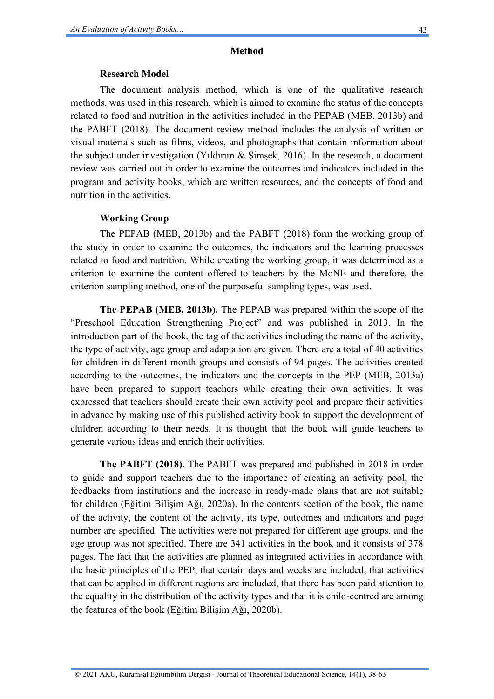#### **Method**

#### **Research Model**

The document analysis method, which is one of the qualitative research methods, was used in this research, which is aimed to examine the status of the concepts related to food and nutrition in the activities included in the PEPAB (MEB, 2013b) and the PABFT (2018). The document review method includes the analysis of written or visual materials such as films, videos, and photographs that contain information about the subject under investigation (Yildırım  $\&$  Simsek, 2016). In the research, a document review was carried out in order to examine the outcomes and indicators included in the program and activity books, which are written resources, and the concepts of food and nutrition in the activities.

### **Working Group**

The PEPAB (MEB, 2013b) and the PABFT (2018) form the working group of the study in order to examine the outcomes, the indicators and the learning processes related to food and nutrition. While creating the working group, it was determined as a criterion to examine the content offered to teachers by the MoNE and therefore, the criterion sampling method, one of the purposeful sampling types, was used.

**The PEPAB (MEB, 2013b).** The PEPAB was prepared within the scope of the "Preschool Education Strengthening Project" and was published in 2013. In the introduction part of the book, the tag of the activities including the name of the activity, the type of activity, age group and adaptation are given. There are a total of 40 activities for children in different month groups and consists of 94 pages. The activities created according to the outcomes, the indicators and the concepts in the PEP (MEB, 2013a) have been prepared to support teachers while creating their own activities. It was expressed that teachers should create their own activity pool and prepare their activities in advance by making use of this published activity book to support the development of children according to their needs. It is thought that the book will guide teachers to generate various ideas and enrich their activities.

**The PABFT (2018).** The PABFT was prepared and published in 2018 in order to guide and support teachers due to the importance of creating an activity pool, the feedbacks from institutions and the increase in ready-made plans that are not suitable for children (Eğitim Bilişim Ağı, 2020a). In the contents section of the book, the name of the activity, the content of the activity, its type, outcomes and indicators and page number are specified. The activities were not prepared for different age groups, and the age group was not specified. There are 341 activities in the book and it consists of 378 pages. The fact that the activities are planned as integrated activities in accordance with the basic principles of the PEP, that certain days and weeks are included, that activities that can be applied in different regions are included, that there has been paid attention to the equality in the distribution of the activity types and that it is child-centred are among the features of the book (Eğitim Bilişim Ağı, 2020b).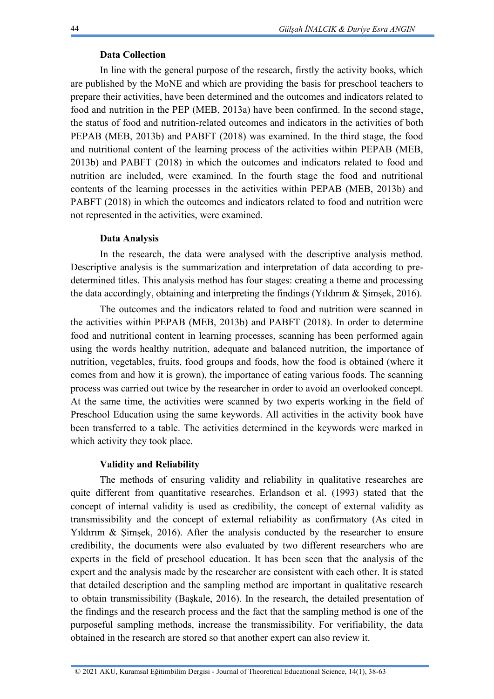## **Data Collection**

In line with the general purpose of the research, firstly the activity books, which are published by the MoNE and which are providing the basis for preschool teachers to prepare their activities, have been determined and the outcomes and indicators related to food and nutrition in the PEP (MEB, 2013a) have been confirmed. In the second stage, the status of food and nutrition-related outcomes and indicators in the activities of both PEPAB (MEB, 2013b) and PABFT (2018) was examined. In the third stage, the food and nutritional content of the learning process of the activities within PEPAB (MEB, 2013b) and PABFT (2018) in which the outcomes and indicators related to food and nutrition are included, were examined. In the fourth stage the food and nutritional contents of the learning processes in the activities within PEPAB (MEB, 2013b) and PABFT (2018) in which the outcomes and indicators related to food and nutrition were not represented in the activities, were examined.

## **Data Analysis**

In the research, the data were analysed with the descriptive analysis method. Descriptive analysis is the summarization and interpretation of data according to predetermined titles. This analysis method has four stages: creating a theme and processing the data accordingly, obtaining and interpreting the findings (Yıldırım & Şimşek, 2016).

The outcomes and the indicators related to food and nutrition were scanned in the activities within PEPAB (MEB, 2013b) and PABFT (2018). In order to determine food and nutritional content in learning processes, scanning has been performed again using the words healthy nutrition, adequate and balanced nutrition, the importance of nutrition, vegetables, fruits, food groups and foods, how the food is obtained (where it comes from and how it is grown), the importance of eating various foods. The scanning process was carried out twice by the researcher in order to avoid an overlooked concept. At the same time, the activities were scanned by two experts working in the field of Preschool Education using the same keywords. All activities in the activity book have been transferred to a table. The activities determined in the keywords were marked in which activity they took place.

## **Validity and Reliability**

The methods of ensuring validity and reliability in qualitative researches are quite different from quantitative researches. Erlandson et al. (1993) stated that the concept of internal validity is used as credibility, the concept of external validity as transmissibility and the concept of external reliability as confirmatory (As cited in Yildirim & Simsek, 2016). After the analysis conducted by the researcher to ensure credibility, the documents were also evaluated by two different researchers who are experts in the field of preschool education. It has been seen that the analysis of the expert and the analysis made by the researcher are consistent with each other. It is stated that detailed description and the sampling method are important in qualitative research to obtain transmissibility (Başkale, 2016). In the research, the detailed presentation of the findings and the research process and the fact that the sampling method is one of the purposeful sampling methods, increase the transmissibility. For verifiability, the data obtained in the research are stored so that another expert can also review it.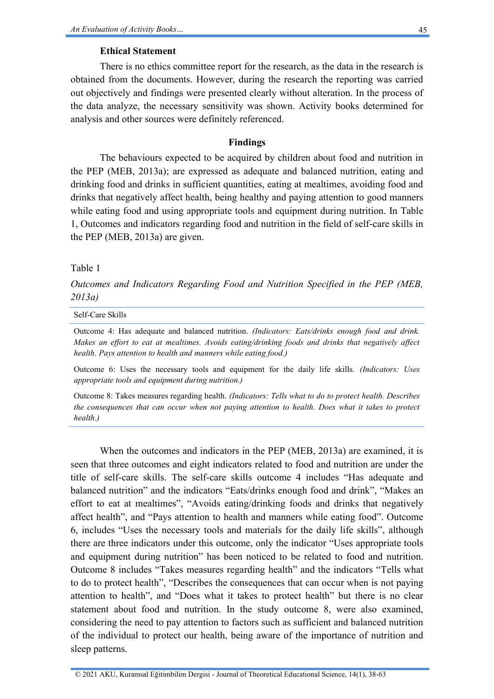### **Ethical Statement**

There is no ethics committee report for the research, as the data in the research is obtained from the documents. However, during the research the reporting was carried out objectively and findings were presented clearly without alteration. In the process of the data analyze, the necessary sensitivity was shown. Activity books determined for analysis and other sources were definitely referenced.

### **Findings**

The behaviours expected to be acquired by children about food and nutrition in the PEP (MEB, 2013a); are expressed as adequate and balanced nutrition, eating and drinking food and drinks in sufficient quantities, eating at mealtimes, avoiding food and drinks that negatively affect health, being healthy and paying attention to good manners while eating food and using appropriate tools and equipment during nutrition. In Table 1, Outcomes and indicators regarding food and nutrition in the field of self-care skills in the PEP (MEB, 2013a) are given.

### Table 1

*Outcomes and Indicators Regarding Food and Nutrition Specified in the PEP (MEB, 2013a)*

#### Self-Care Skills

Outcome 4: Has adequate and balanced nutrition. *(Indicators: Eats/drinks enough food and drink. Makes an effort to eat at mealtimes. Avoids eating/drinking foods and drinks that negatively affect health. Pays attention to health and manners while eating food.)*

Outcome 6: Uses the necessary tools and equipment for the daily life skills. *(Indicators: Uses appropriate tools and equipment during nutrition.)*

Outcome 8: Takes measures regarding health. *(Indicators: Tells what to do to protect health. Describes the consequences that can occur when not paying attention to health. Does what it takes to protect health.)*

When the outcomes and indicators in the PEP (MEB, 2013a) are examined, it is seen that three outcomes and eight indicators related to food and nutrition are under the title of self-care skills. The self-care skills outcome 4 includes "Has adequate and balanced nutrition" and the indicators "Eats/drinks enough food and drink", "Makes an effort to eat at mealtimes", "Avoids eating/drinking foods and drinks that negatively affect health", and "Pays attention to health and manners while eating food". Outcome 6, includes "Uses the necessary tools and materials for the daily life skills", although there are three indicators under this outcome, only the indicator "Uses appropriate tools and equipment during nutrition" has been noticed to be related to food and nutrition. Outcome 8 includes "Takes measures regarding health" and the indicators "Tells what to do to protect health", "Describes the consequences that can occur when is not paying attention to health", and "Does what it takes to protect health" but there is no clear statement about food and nutrition. In the study outcome 8, were also examined, considering the need to pay attention to factors such as sufficient and balanced nutrition of the individual to protect our health, being aware of the importance of nutrition and sleep patterns.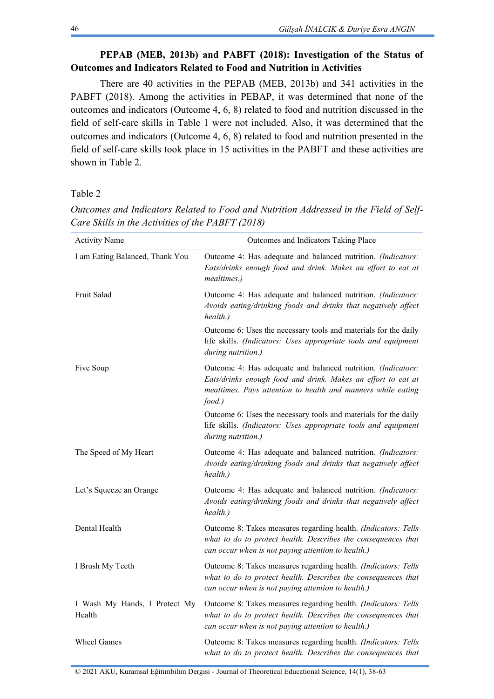## **PEPAB (MEB, 2013b) and PABFT (2018): Investigation of the Status of Outcomes and Indicators Related to Food and Nutrition in Activities**

There are 40 activities in the PEPAB (MEB, 2013b) and 341 activities in the PABFT (2018). Among the activities in PEBAP, it was determined that none of the outcomes and indicators (Outcome 4, 6, 8) related to food and nutrition discussed in the field of self-care skills in Table 1 were not included. Also, it was determined that the outcomes and indicators (Outcome 4, 6, 8) related to food and nutrition presented in the field of self-care skills took place in 15 activities in the PABFT and these activities are shown in Table 2.

Table 2

| <b>Activity Name</b>                    | Outcomes and Indicators Taking Place                                                                                                                                                                   |
|-----------------------------------------|--------------------------------------------------------------------------------------------------------------------------------------------------------------------------------------------------------|
| I am Eating Balanced, Thank You         | Outcome 4: Has adequate and balanced nutrition. (Indicators:<br>Eats/drinks enough food and drink. Makes an effort to eat at<br>mealtimes.)                                                            |
| Fruit Salad                             | Outcome 4: Has adequate and balanced nutrition. (Indicators:<br>Avoids eating/drinking foods and drinks that negatively affect<br>health.)                                                             |
|                                         | Outcome 6: Uses the necessary tools and materials for the daily<br>life skills. (Indicators: Uses appropriate tools and equipment<br>during nutrition.)                                                |
| Five Soup                               | Outcome 4: Has adequate and balanced nutrition. (Indicators:<br>Eats/drinks enough food and drink. Makes an effort to eat at<br>mealtimes. Pays attention to health and manners while eating<br>food.) |
|                                         | Outcome 6: Uses the necessary tools and materials for the daily<br>life skills. (Indicators: Uses appropriate tools and equipment<br>during nutrition.)                                                |
| The Speed of My Heart                   | Outcome 4: Has adequate and balanced nutrition. (Indicators:<br>Avoids eating/drinking foods and drinks that negatively affect<br>health.)                                                             |
| Let's Squeeze an Orange                 | Outcome 4: Has adequate and balanced nutrition. (Indicators:<br>Avoids eating/drinking foods and drinks that negatively affect<br>health.)                                                             |
| Dental Health                           | Outcome 8: Takes measures regarding health. (Indicators: Tells<br>what to do to protect health. Describes the consequences that<br>can occur when is not paying attention to health.)                  |
| I Brush My Teeth                        | Outcome 8: Takes measures regarding health. (Indicators: Tells<br>what to do to protect health. Describes the consequences that<br>can occur when is not paying attention to health.)                  |
| I Wash My Hands, I Protect My<br>Health | Outcome 8: Takes measures regarding health. (Indicators: Tells<br>what to do to protect health. Describes the consequences that<br>can occur when is not paying attention to health.)                  |
| <b>Wheel Games</b>                      | Outcome 8: Takes measures regarding health. (Indicators: Tells<br>what to do to protect health. Describes the consequences that                                                                        |

*Outcomes and Indicators Related to Food and Nutrition Addressed in the Field of Self-Care Skills in the Activities of the PABFT (2018)*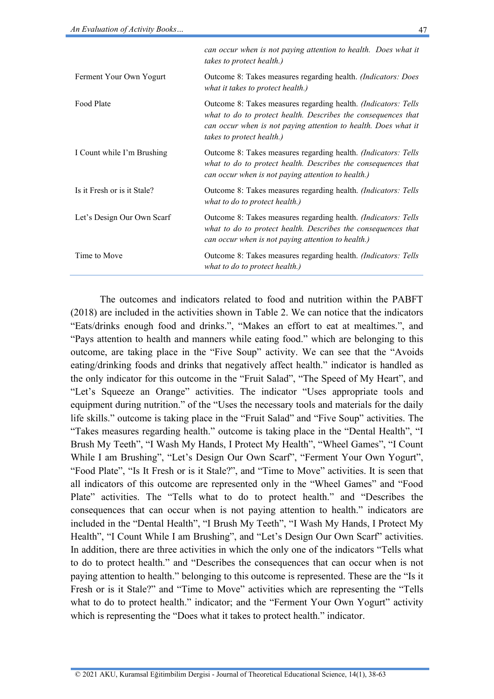|                             | can occur when is not paying attention to health. Does what it<br>takes to protect health.)                                                                                                                                                    |
|-----------------------------|------------------------------------------------------------------------------------------------------------------------------------------------------------------------------------------------------------------------------------------------|
| Ferment Your Own Yogurt     | Outcome 8: Takes measures regarding health. <i>(Indicators: Does</i> )<br>what it takes to protect health.)                                                                                                                                    |
| Food Plate                  | Outcome 8: Takes measures regarding health. <i>(Indicators: Tells</i> )<br>what to do to protect health. Describes the consequences that<br>can occur when is not paying attention to health. Does what it<br><i>takes to protect health.)</i> |
| I Count while I'm Brushing  | Outcome 8: Takes measures regarding health. <i>(Indicators: Tells</i> )<br>what to do to protect health. Describes the consequences that<br>can occur when is not paying attention to health.)                                                 |
| Is it Fresh or is it Stale? | Outcome 8: Takes measures regarding health. <i>(Indicators: Tells</i> )<br>what to do to protect health.)                                                                                                                                      |
| Let's Design Our Own Scarf  | Outcome 8: Takes measures regarding health. <i>(Indicators: Tells</i> )<br>what to do to protect health. Describes the consequences that<br>can occur when is not paying attention to health.)                                                 |
| Time to Move                | Outcome 8: Takes measures regarding health. <i>(Indicators: Tells</i> )<br>what to do to protect health.)                                                                                                                                      |

The outcomes and indicators related to food and nutrition within the PABFT (2018) are included in the activities shown in Table 2. We can notice that the indicators "Eats/drinks enough food and drinks.", "Makes an effort to eat at mealtimes.", and "Pays attention to health and manners while eating food." which are belonging to this outcome, are taking place in the "Five Soup" activity. We can see that the "Avoids eating/drinking foods and drinks that negatively affect health." indicator is handled as the only indicator for this outcome in the "Fruit Salad", "The Speed of My Heart", and "Let's Squeeze an Orange" activities. The indicator "Uses appropriate tools and equipment during nutrition." of the "Uses the necessary tools and materials for the daily life skills." outcome is taking place in the "Fruit Salad" and "Five Soup" activities. The "Takes measures regarding health." outcome is taking place in the "Dental Health", "I Brush My Teeth", "I Wash My Hands, I Protect My Health", "Wheel Games", "I Count While I am Brushing", "Let's Design Our Own Scarf", "Ferment Your Own Yogurt", "Food Plate", "Is It Fresh or is it Stale?", and "Time to Move" activities. It is seen that all indicators of this outcome are represented only in the "Wheel Games" and "Food Plate" activities. The "Tells what to do to protect health." and "Describes the consequences that can occur when is not paying attention to health." indicators are included in the "Dental Health", "I Brush My Teeth", "I Wash My Hands, I Protect My Health", "I Count While I am Brushing", and "Let's Design Our Own Scarf" activities. In addition, there are three activities in which the only one of the indicators "Tells what to do to protect health." and "Describes the consequences that can occur when is not paying attention to health." belonging to this outcome is represented. These are the "Is it Fresh or is it Stale?" and "Time to Move" activities which are representing the "Tells what to do to protect health." indicator; and the "Ferment Your Own Yogurt" activity which is representing the "Does what it takes to protect health." indicator.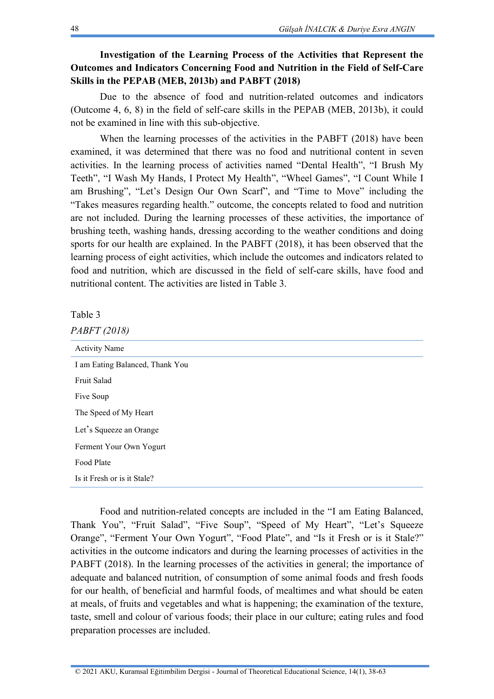## **Investigation of the Learning Process of the Activities that Represent the Outcomes and Indicators Concerning Food and Nutrition in the Field of Self-Care Skills in the PEPAB (MEB, 2013b) and PABFT (2018)**

Due to the absence of food and nutrition-related outcomes and indicators (Outcome 4, 6, 8) in the field of self-care skills in the PEPAB (MEB, 2013b), it could not be examined in line with this sub-objective.

When the learning processes of the activities in the PABFT (2018) have been examined, it was determined that there was no food and nutritional content in seven activities. In the learning process of activities named "Dental Health", "I Brush My Teeth", "I Wash My Hands, I Protect My Health", "Wheel Games", "I Count While I am Brushing", "Let's Design Our Own Scarf", and "Time to Move" including the "Takes measures regarding health." outcome, the concepts related to food and nutrition are not included. During the learning processes of these activities, the importance of brushing teeth, washing hands, dressing according to the weather conditions and doing sports for our health are explained. In the PABFT (2018), it has been observed that the learning process of eight activities, which include the outcomes and indicators related to food and nutrition, which are discussed in the field of self-care skills, have food and nutritional content. The activities are listed in Table 3.

Table 3

| PABFT (2018) |
|--------------|
|--------------|

| <b>Activity Name</b>            |
|---------------------------------|
| I am Eating Balanced, Thank You |
| <b>Fruit Salad</b>              |
| Five Soup                       |
| The Speed of My Heart           |
| Let's Squeeze an Orange         |
| Ferment Your Own Yogurt         |
| Food Plate                      |
| Is it Fresh or is it Stale?     |
|                                 |

Food and nutrition-related concepts are included in the "I am Eating Balanced, Thank You", "Fruit Salad", "Five Soup", "Speed of My Heart", "Let's Squeeze Orange", "Ferment Your Own Yogurt", "Food Plate", and "Is it Fresh or is it Stale?" activities in the outcome indicators and during the learning processes of activities in the PABFT (2018). In the learning processes of the activities in general; the importance of adequate and balanced nutrition, of consumption of some animal foods and fresh foods for our health, of beneficial and harmful foods, of mealtimes and what should be eaten at meals, of fruits and vegetables and what is happening; the examination of the texture, taste, smell and colour of various foods; their place in our culture; eating rules and food preparation processes are included.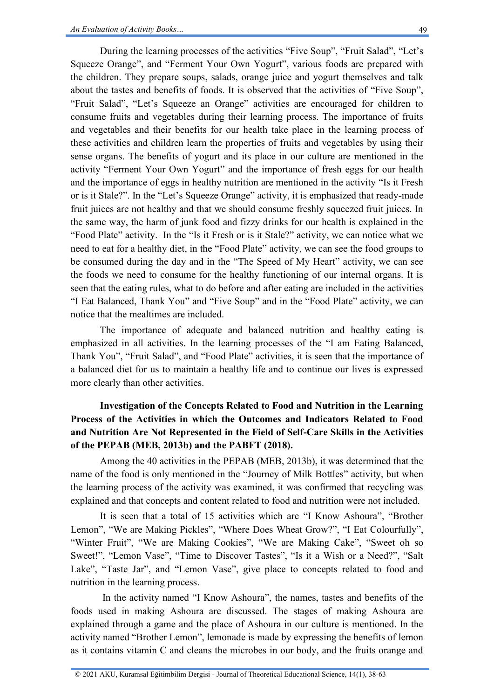During the learning processes of the activities "Five Soup", "Fruit Salad", "Let's Squeeze Orange", and "Ferment Your Own Yogurt", various foods are prepared with the children. They prepare soups, salads, orange juice and yogurt themselves and talk about the tastes and benefits of foods. It is observed that the activities of "Five Soup", "Fruit Salad", "Let's Squeeze an Orange" activities are encouraged for children to consume fruits and vegetables during their learning process. The importance of fruits and vegetables and their benefits for our health take place in the learning process of these activities and children learn the properties of fruits and vegetables by using their sense organs. The benefits of yogurt and its place in our culture are mentioned in the activity "Ferment Your Own Yogurt" and the importance of fresh eggs for our health and the importance of eggs in healthy nutrition are mentioned in the activity "Is it Fresh or is it Stale?". In the "Let's Squeeze Orange" activity, it is emphasized that ready-made fruit juices are not healthy and that we should consume freshly squeezed fruit juices. In the same way, the harm of junk food and fizzy drinks for our health is explained in the "Food Plate" activity. In the "Is it Fresh or is it Stale?" activity, we can notice what we need to eat for a healthy diet, in the "Food Plate" activity, we can see the food groups to be consumed during the day and in the "The Speed of My Heart" activity, we can see the foods we need to consume for the healthy functioning of our internal organs. It is seen that the eating rules, what to do before and after eating are included in the activities "I Eat Balanced, Thank You" and "Five Soup" and in the "Food Plate" activity, we can notice that the mealtimes are included.

The importance of adequate and balanced nutrition and healthy eating is emphasized in all activities. In the learning processes of the "I am Eating Balanced, Thank You", "Fruit Salad", and "Food Plate" activities, it is seen that the importance of a balanced diet for us to maintain a healthy life and to continue our lives is expressed more clearly than other activities.

# **Investigation of the Concepts Related to Food and Nutrition in the Learning Process of the Activities in which the Outcomes and Indicators Related to Food and Nutrition Are Not Represented in the Field of Self-Care Skills in the Activities of the PEPAB (MEB, 2013b) and the PABFT (2018).**

Among the 40 activities in the PEPAB (MEB, 2013b), it was determined that the name of the food is only mentioned in the "Journey of Milk Bottles" activity, but when the learning process of the activity was examined, it was confirmed that recycling was explained and that concepts and content related to food and nutrition were not included.

It is seen that a total of 15 activities which are "I Know Ashoura", "Brother Lemon", "We are Making Pickles", "Where Does Wheat Grow?", "I Eat Colourfully", "Winter Fruit", "We are Making Cookies", "We are Making Cake", "Sweet oh so Sweet!", "Lemon Vase", "Time to Discover Tastes", "Is it a Wish or a Need?", "Salt Lake", "Taste Jar", and "Lemon Vase", give place to concepts related to food and nutrition in the learning process.

In the activity named "I Know Ashoura", the names, tastes and benefits of the foods used in making Ashoura are discussed. The stages of making Ashoura are explained through a game and the place of Ashoura in our culture is mentioned. In the activity named "Brother Lemon", lemonade is made by expressing the benefits of lemon as it contains vitamin C and cleans the microbes in our body, and the fruits orange and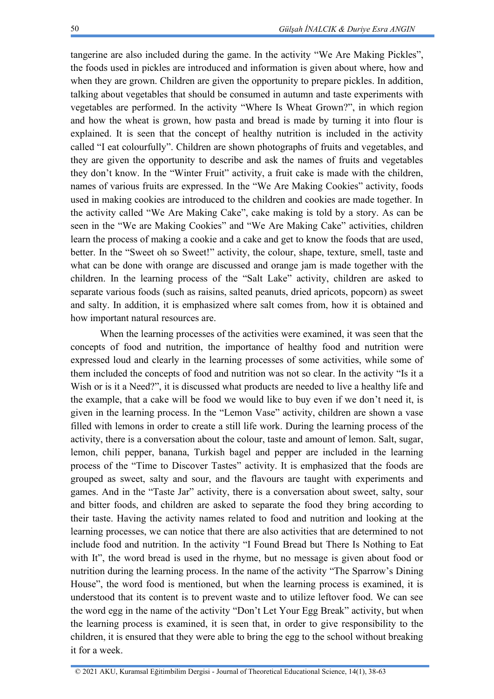tangerine are also included during the game. In the activity "We Are Making Pickles", the foods used in pickles are introduced and information is given about where, how and when they are grown. Children are given the opportunity to prepare pickles. In addition, talking about vegetables that should be consumed in autumn and taste experiments with vegetables are performed. In the activity "Where Is Wheat Grown?", in which region and how the wheat is grown, how pasta and bread is made by turning it into flour is explained. It is seen that the concept of healthy nutrition is included in the activity called "I eat colourfully". Children are shown photographs of fruits and vegetables, and they are given the opportunity to describe and ask the names of fruits and vegetables they don't know. In the "Winter Fruit" activity, a fruit cake is made with the children, names of various fruits are expressed. In the "We Are Making Cookies" activity, foods used in making cookies are introduced to the children and cookies are made together. In the activity called "We Are Making Cake", cake making is told by a story. As can be seen in the "We are Making Cookies" and "We Are Making Cake" activities, children learn the process of making a cookie and a cake and get to know the foods that are used, better. In the "Sweet oh so Sweet!" activity, the colour, shape, texture, smell, taste and what can be done with orange are discussed and orange jam is made together with the children. In the learning process of the "Salt Lake" activity, children are asked to separate various foods (such as raisins, salted peanuts, dried apricots, popcorn) as sweet and salty. In addition, it is emphasized where salt comes from, how it is obtained and how important natural resources are.

When the learning processes of the activities were examined, it was seen that the concepts of food and nutrition, the importance of healthy food and nutrition were expressed loud and clearly in the learning processes of some activities, while some of them included the concepts of food and nutrition was not so clear. In the activity "Is it a Wish or is it a Need?", it is discussed what products are needed to live a healthy life and the example, that a cake will be food we would like to buy even if we don't need it, is given in the learning process. In the "Lemon Vase" activity, children are shown a vase filled with lemons in order to create a still life work. During the learning process of the activity, there is a conversation about the colour, taste and amount of lemon. Salt, sugar, lemon, chili pepper, banana, Turkish bagel and pepper are included in the learning process of the "Time to Discover Tastes" activity. It is emphasized that the foods are grouped as sweet, salty and sour, and the flavours are taught with experiments and games. And in the "Taste Jar" activity, there is a conversation about sweet, salty, sour and bitter foods, and children are asked to separate the food they bring according to their taste. Having the activity names related to food and nutrition and looking at the learning processes, we can notice that there are also activities that are determined to not include food and nutrition. In the activity "I Found Bread but There Is Nothing to Eat with It", the word bread is used in the rhyme, but no message is given about food or nutrition during the learning process. In the name of the activity "The Sparrow's Dining House", the word food is mentioned, but when the learning process is examined, it is understood that its content is to prevent waste and to utilize leftover food. We can see the word egg in the name of the activity "Don't Let Your Egg Break" activity, but when the learning process is examined, it is seen that, in order to give responsibility to the children, it is ensured that they were able to bring the egg to the school without breaking it for a week.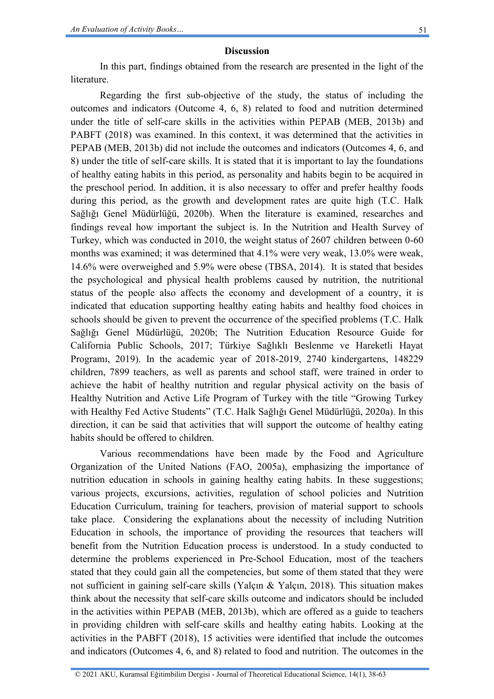In this part, findings obtained from the research are presented in the light of the **literature** 

Regarding the first sub-objective of the study, the status of including the outcomes and indicators (Outcome 4, 6, 8) related to food and nutrition determined under the title of self-care skills in the activities within PEPAB (MEB, 2013b) and PABFT (2018) was examined. In this context, it was determined that the activities in PEPAB (MEB, 2013b) did not include the outcomes and indicators (Outcomes 4, 6, and 8) under the title of self-care skills. It is stated that it is important to lay the foundations of healthy eating habits in this period, as personality and habits begin to be acquired in the preschool period. In addition, it is also necessary to offer and prefer healthy foods during this period, as the growth and development rates are quite high (T.C. Halk Sağlığı Genel Müdürlüğü, 2020b). When the literature is examined, researches and findings reveal how important the subject is. In the Nutrition and Health Survey of Turkey, which was conducted in 2010, the weight status of 2607 children between 0-60 months was examined; it was determined that 4.1% were very weak, 13.0% were weak, 14.6% were overweighed and 5.9% were obese (TBSA, 2014). It is stated that besides the psychological and physical health problems caused by nutrition, the nutritional status of the people also affects the economy and development of a country, it is indicated that education supporting healthy eating habits and healthy food choices in schools should be given to prevent the occurrence of the specified problems (T.C. Halk Sağlığı Genel Müdürlüğü, 2020b; The Nutrition Education Resource Guide for California Public Schools, 2017; Türkiye Sağlıklı Beslenme ve Hareketli Hayat Programı, 2019). In the academic year of 2018-2019, 2740 kindergartens, 148229 children, 7899 teachers, as well as parents and school staff, were trained in order to achieve the habit of healthy nutrition and regular physical activity on the basis of Healthy Nutrition and Active Life Program of Turkey with the title "Growing Turkey with Healthy Fed Active Students" (T.C. Halk Sağlığı Genel Müdürlüğü, 2020a). In this direction, it can be said that activities that will support the outcome of healthy eating habits should be offered to children.

Various recommendations have been made by the Food and Agriculture Organization of the United Nations (FAO, 2005a), emphasizing the importance of nutrition education in schools in gaining healthy eating habits. In these suggestions; various projects, excursions, activities, regulation of school policies and Nutrition Education Curriculum, training for teachers, provision of material support to schools take place. Considering the explanations about the necessity of including Nutrition Education in schools, the importance of providing the resources that teachers will benefit from the Nutrition Education process is understood. In a study conducted to determine the problems experienced in Pre-School Education, most of the teachers stated that they could gain all the competencies, but some of them stated that they were not sufficient in gaining self-care skills (Yalçın & Yalçın, 2018). This situation makes think about the necessity that self-care skills outcome and indicators should be included in the activities within PEPAB (MEB, 2013b), which are offered as a guide to teachers in providing children with self-care skills and healthy eating habits. Looking at the activities in the PABFT (2018), 15 activities were identified that include the outcomes and indicators (Outcomes 4, 6, and 8) related to food and nutrition. The outcomes in the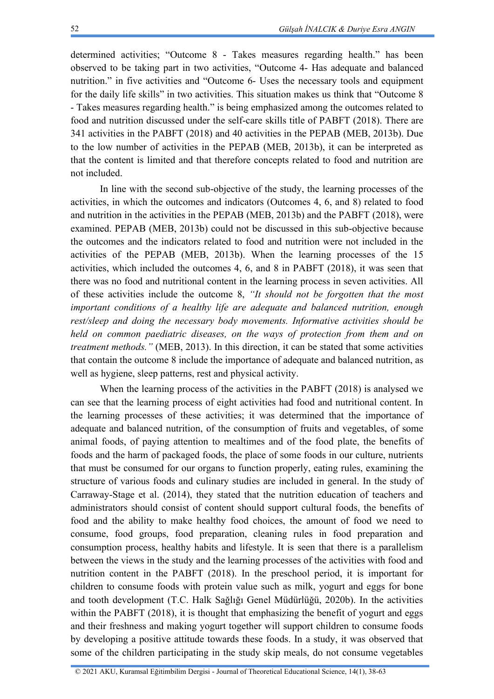determined activities; "Outcome 8 - Takes measures regarding health." has been observed to be taking part in two activities, "Outcome 4- Has adequate and balanced nutrition." in five activities and "Outcome 6- Uses the necessary tools and equipment for the daily life skills" in two activities. This situation makes us think that "Outcome 8 - Takes measures regarding health." is being emphasized among the outcomes related to food and nutrition discussed under the self-care skills title of PABFT (2018). There are 341 activities in the PABFT (2018) and 40 activities in the PEPAB (MEB, 2013b). Due to the low number of activities in the PEPAB (MEB, 2013b), it can be interpreted as that the content is limited and that therefore concepts related to food and nutrition are not included.

In line with the second sub-objective of the study, the learning processes of the activities, in which the outcomes and indicators (Outcomes 4, 6, and 8) related to food and nutrition in the activities in the PEPAB (MEB, 2013b) and the PABFT (2018), were examined. PEPAB (MEB, 2013b) could not be discussed in this sub-objective because the outcomes and the indicators related to food and nutrition were not included in the activities of the PEPAB (MEB, 2013b). When the learning processes of the 15 activities, which included the outcomes 4, 6, and 8 in PABFT (2018), it was seen that there was no food and nutritional content in the learning process in seven activities. All of these activities include the outcome 8, *"It should not be forgotten that the most important conditions of a healthy life are adequate and balanced nutrition, enough rest/sleep and doing the necessary body movements. Informative activities should be held on common paediatric diseases, on the ways of protection from them and on treatment methods."* (MEB, 2013). In this direction, it can be stated that some activities that contain the outcome 8 include the importance of adequate and balanced nutrition, as well as hygiene, sleep patterns, rest and physical activity.

When the learning process of the activities in the PABFT (2018) is analysed we can see that the learning process of eight activities had food and nutritional content. In the learning processes of these activities; it was determined that the importance of adequate and balanced nutrition, of the consumption of fruits and vegetables, of some animal foods, of paying attention to mealtimes and of the food plate, the benefits of foods and the harm of packaged foods, the place of some foods in our culture, nutrients that must be consumed for our organs to function properly, eating rules, examining the structure of various foods and culinary studies are included in general. In the study of Carraway-Stage et al. (2014), they stated that the nutrition education of teachers and administrators should consist of content should support cultural foods, the benefits of food and the ability to make healthy food choices, the amount of food we need to consume, food groups, food preparation, cleaning rules in food preparation and consumption process, healthy habits and lifestyle. It is seen that there is a parallelism between the views in the study and the learning processes of the activities with food and nutrition content in the PABFT (2018). In the preschool period, it is important for children to consume foods with protein value such as milk, yogurt and eggs for bone and tooth development (T.C. Halk Sağlığı Genel Müdürlüğü, 2020b). In the activities within the PABFT (2018), it is thought that emphasizing the benefit of yogurt and eggs and their freshness and making yogurt together will support children to consume foods by developing a positive attitude towards these foods. In a study, it was observed that some of the children participating in the study skip meals, do not consume vegetables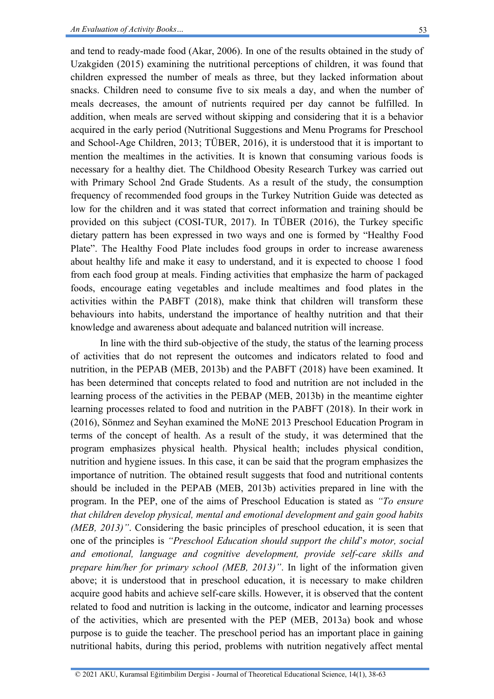and tend to ready-made food (Akar, 2006). In one of the results obtained in the study of Uzakgiden (2015) examining the nutritional perceptions of children, it was found that children expressed the number of meals as three, but they lacked information about snacks. Children need to consume five to six meals a day, and when the number of meals decreases, the amount of nutrients required per day cannot be fulfilled. In addition, when meals are served without skipping and considering that it is a behavior acquired in the early period (Nutritional Suggestions and Menu Programs for Preschool and School-Age Children, 2013; TÜBER, 2016), it is understood that it is important to mention the mealtimes in the activities. It is known that consuming various foods is necessary for a healthy diet. The Childhood Obesity Research Turkey was carried out with Primary School 2nd Grade Students. As a result of the study, the consumption frequency of recommended food groups in the Turkey Nutrition Guide was detected as low for the children and it was stated that correct information and training should be provided on this subject (COSI-TUR, 2017). In TÜBER (2016), the Turkey specific dietary pattern has been expressed in two ways and one is formed by "Healthy Food Plate". The Healthy Food Plate includes food groups in order to increase awareness about healthy life and make it easy to understand, and it is expected to choose 1 food from each food group at meals. Finding activities that emphasize the harm of packaged foods, encourage eating vegetables and include mealtimes and food plates in the activities within the PABFT (2018), make think that children will transform these behaviours into habits, understand the importance of healthy nutrition and that their knowledge and awareness about adequate and balanced nutrition will increase.

In line with the third sub-objective of the study, the status of the learning process of activities that do not represent the outcomes and indicators related to food and nutrition, in the PEPAB (MEB, 2013b) and the PABFT (2018) have been examined. It has been determined that concepts related to food and nutrition are not included in the learning process of the activities in the PEBAP (MEB, 2013b) in the meantime eighter learning processes related to food and nutrition in the PABFT (2018). In their work in (2016), Sönmez and Seyhan examined the MoNE 2013 Preschool Education Program in terms of the concept of health. As a result of the study, it was determined that the program emphasizes physical health. Physical health; includes physical condition, nutrition and hygiene issues. In this case, it can be said that the program emphasizes the importance of nutrition. The obtained result suggests that food and nutritional contents should be included in the PEPAB (MEB, 2013b) activities prepared in line with the program. In the PEP, one of the aims of Preschool Education is stated as *"To ensure that children develop physical, mental and emotional development and gain good habits (MEB, 2013)"*. Considering the basic principles of preschool education, it is seen that one of the principles is *"Preschool Education should support the child*'*s motor, social and emotional, language and cognitive development, provide self-care skills and prepare him/her for primary school (MEB, 2013)"*. In light of the information given above; it is understood that in preschool education, it is necessary to make children acquire good habits and achieve self-care skills. However, it is observed that the content related to food and nutrition is lacking in the outcome, indicator and learning processes of the activities, which are presented with the PEP (MEB, 2013a) book and whose purpose is to guide the teacher. The preschool period has an important place in gaining nutritional habits, during this period, problems with nutrition negatively affect mental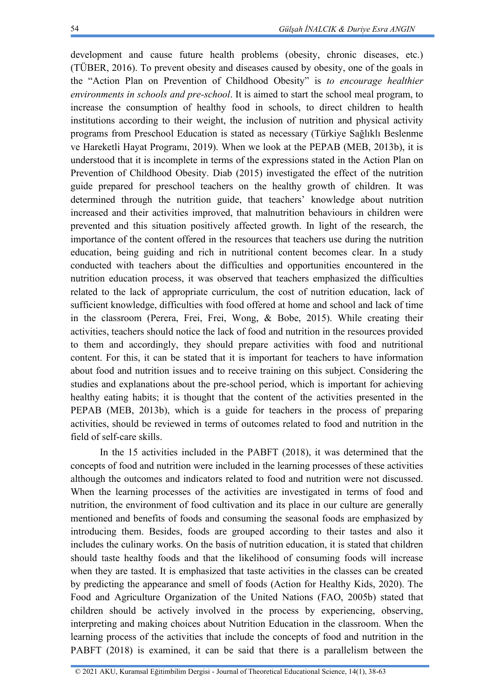development and cause future health problems (obesity, chronic diseases, etc.) (TÜBER, 2016). To prevent obesity and diseases caused by obesity, one of the goals in the "Action Plan on Prevention of Childhood Obesity" is *to encourage healthier environments in schools and pre-school*. It is aimed to start the school meal program, to increase the consumption of healthy food in schools, to direct children to health institutions according to their weight, the inclusion of nutrition and physical activity programs from Preschool Education is stated as necessary (Türkiye Sağlıklı Beslenme ve Hareketli Hayat Programı, 2019). When we look at the PEPAB (MEB, 2013b), it is understood that it is incomplete in terms of the expressions stated in the Action Plan on Prevention of Childhood Obesity. Diab (2015) investigated the effect of the nutrition guide prepared for preschool teachers on the healthy growth of children. It was determined through the nutrition guide, that teachers' knowledge about nutrition increased and their activities improved, that malnutrition behaviours in children were prevented and this situation positively affected growth. In light of the research, the importance of the content offered in the resources that teachers use during the nutrition education, being guiding and rich in nutritional content becomes clear. In a study conducted with teachers about the difficulties and opportunities encountered in the nutrition education process, it was observed that teachers emphasized the difficulties related to the lack of appropriate curriculum, the cost of nutrition education, lack of sufficient knowledge, difficulties with food offered at home and school and lack of time in the classroom (Perera, Frei, Frei, Wong, & Bobe, 2015). While creating their activities, teachers should notice the lack of food and nutrition in the resources provided to them and accordingly, they should prepare activities with food and nutritional content. For this, it can be stated that it is important for teachers to have information about food and nutrition issues and to receive training on this subject. Considering the studies and explanations about the pre-school period, which is important for achieving healthy eating habits; it is thought that the content of the activities presented in the PEPAB (MEB, 2013b), which is a guide for teachers in the process of preparing activities, should be reviewed in terms of outcomes related to food and nutrition in the field of self-care skills.

In the 15 activities included in the PABFT (2018), it was determined that the concepts of food and nutrition were included in the learning processes of these activities although the outcomes and indicators related to food and nutrition were not discussed. When the learning processes of the activities are investigated in terms of food and nutrition, the environment of food cultivation and its place in our culture are generally mentioned and benefits of foods and consuming the seasonal foods are emphasized by introducing them. Besides, foods are grouped according to their tastes and also it includes the culinary works. On the basis of nutrition education, it is stated that children should taste healthy foods and that the likelihood of consuming foods will increase when they are tasted. It is emphasized that taste activities in the classes can be created by predicting the appearance and smell of foods (Action for Healthy Kids, 2020). The Food and Agriculture Organization of the United Nations (FAO, 2005b) stated that children should be actively involved in the process by experiencing, observing, interpreting and making choices about Nutrition Education in the classroom. When the learning process of the activities that include the concepts of food and nutrition in the PABFT (2018) is examined, it can be said that there is a parallelism between the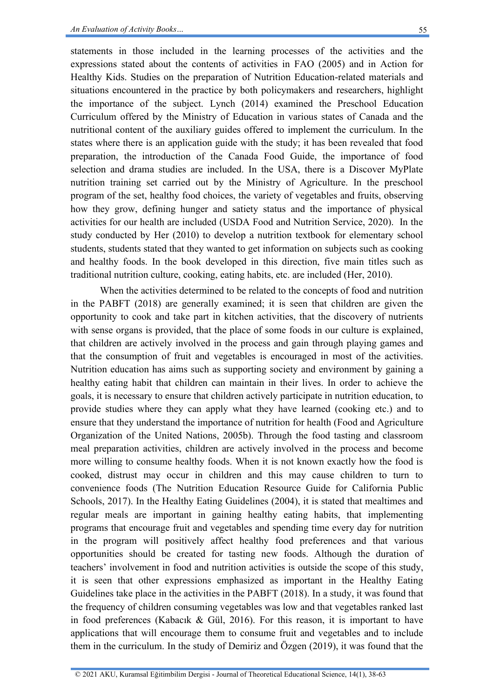statements in those included in the learning processes of the activities and the expressions stated about the contents of activities in FAO (2005) and in Action for Healthy Kids. Studies on the preparation of Nutrition Education-related materials and situations encountered in the practice by both policymakers and researchers, highlight the importance of the subject. Lynch (2014) examined the Preschool Education Curriculum offered by the Ministry of Education in various states of Canada and the nutritional content of the auxiliary guides offered to implement the curriculum. In the states where there is an application guide with the study; it has been revealed that food preparation, the introduction of the Canada Food Guide, the importance of food selection and drama studies are included. In the USA, there is a Discover MyPlate nutrition training set carried out by the Ministry of Agriculture. In the preschool program of the set, healthy food choices, the variety of vegetables and fruits, observing how they grow, defining hunger and satiety status and the importance of physical activities for our health are included (USDA Food and Nutrition Service, 2020). In the study conducted by Her (2010) to develop a nutrition textbook for elementary school students, students stated that they wanted to get information on subjects such as cooking and healthy foods. In the book developed in this direction, five main titles such as traditional nutrition culture, cooking, eating habits, etc. are included (Her, 2010).

When the activities determined to be related to the concepts of food and nutrition in the PABFT (2018) are generally examined; it is seen that children are given the opportunity to cook and take part in kitchen activities, that the discovery of nutrients with sense organs is provided, that the place of some foods in our culture is explained, that children are actively involved in the process and gain through playing games and that the consumption of fruit and vegetables is encouraged in most of the activities. Nutrition education has aims such as supporting society and environment by gaining a healthy eating habit that children can maintain in their lives. In order to achieve the goals, it is necessary to ensure that children actively participate in nutrition education, to provide studies where they can apply what they have learned (cooking etc.) and to ensure that they understand the importance of nutrition for health (Food and Agriculture Organization of the United Nations, 2005b). Through the food tasting and classroom meal preparation activities, children are actively involved in the process and become more willing to consume healthy foods. When it is not known exactly how the food is cooked, distrust may occur in children and this may cause children to turn to convenience foods (The Nutrition Education Resource Guide for California Public Schools, 2017). In the Healthy Eating Guidelines (2004), it is stated that mealtimes and regular meals are important in gaining healthy eating habits, that implementing programs that encourage fruit and vegetables and spending time every day for nutrition in the program will positively affect healthy food preferences and that various opportunities should be created for tasting new foods. Although the duration of teachers' involvement in food and nutrition activities is outside the scope of this study, it is seen that other expressions emphasized as important in the Healthy Eating Guidelines take place in the activities in the PABFT (2018). In a study, it was found that the frequency of children consuming vegetables was low and that vegetables ranked last in food preferences (Kabacık & Gül, 2016). For this reason, it is important to have applications that will encourage them to consume fruit and vegetables and to include them in the curriculum. In the study of Demiriz and Özgen (2019), it was found that the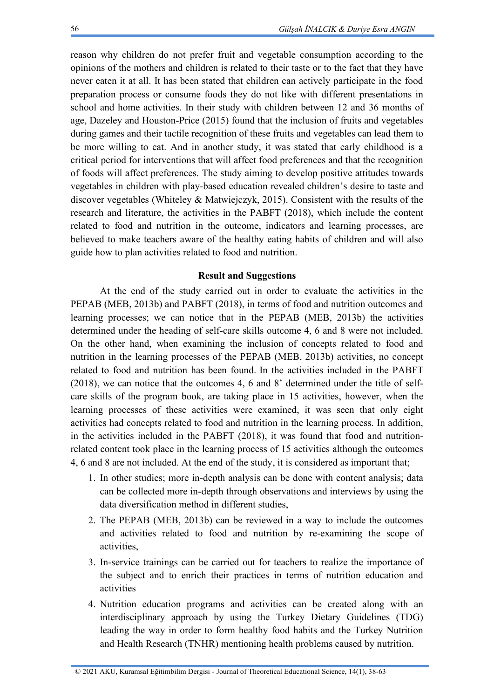reason why children do not prefer fruit and vegetable consumption according to the opinions of the mothers and children is related to their taste or to the fact that they have never eaten it at all. It has been stated that children can actively participate in the food preparation process or consume foods they do not like with different presentations in school and home activities. In their study with children between 12 and 36 months of age, Dazeley and Houston-Price (2015) found that the inclusion of fruits and vegetables during games and their tactile recognition of these fruits and vegetables can lead them to be more willing to eat. And in another study, it was stated that early childhood is a critical period for interventions that will affect food preferences and that the recognition of foods will affect preferences. The study aiming to develop positive attitudes towards vegetables in children with play-based education revealed children's desire to taste and discover vegetables (Whiteley & Matwiejczyk, 2015). Consistent with the results of the research and literature, the activities in the PABFT (2018), which include the content related to food and nutrition in the outcome, indicators and learning processes, are believed to make teachers aware of the healthy eating habits of children and will also guide how to plan activities related to food and nutrition.

### **Result and Suggestions**

At the end of the study carried out in order to evaluate the activities in the PEPAB (MEB, 2013b) and PABFT (2018), in terms of food and nutrition outcomes and learning processes; we can notice that in the PEPAB (MEB, 2013b) the activities determined under the heading of self-care skills outcome 4, 6 and 8 were not included. On the other hand, when examining the inclusion of concepts related to food and nutrition in the learning processes of the PEPAB (MEB, 2013b) activities, no concept related to food and nutrition has been found. In the activities included in the PABFT (2018), we can notice that the outcomes 4, 6 and 8' determined under the title of selfcare skills of the program book, are taking place in 15 activities, however, when the learning processes of these activities were examined, it was seen that only eight activities had concepts related to food and nutrition in the learning process. In addition, in the activities included in the PABFT (2018), it was found that food and nutritionrelated content took place in the learning process of 15 activities although the outcomes 4, 6 and 8 are not included. At the end of the study, it is considered as important that;

- 1. In other studies; more in-depth analysis can be done with content analysis; data can be collected more in-depth through observations and interviews by using the data diversification method in different studies,
- 2. The PEPAB (MEB, 2013b) can be reviewed in a way to include the outcomes and activities related to food and nutrition by re-examining the scope of activities,
- 3. In-service trainings can be carried out for teachers to realize the importance of the subject and to enrich their practices in terms of nutrition education and activities
- 4. Nutrition education programs and activities can be created along with an interdisciplinary approach by using the Turkey Dietary Guidelines (TDG) leading the way in order to form healthy food habits and the Turkey Nutrition and Health Research (TNHR) mentioning health problems caused by nutrition.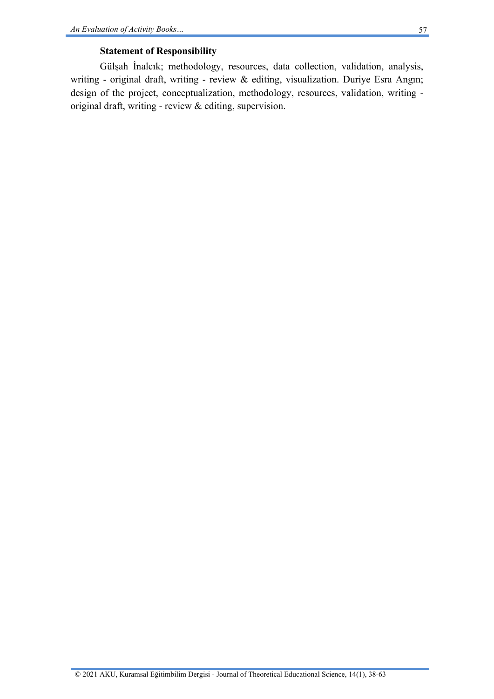## **Statement of Responsibility**

Gülşah İnalcık; methodology, resources, data collection, validation, analysis, writing - original draft, writing - review & editing, visualization. Duriye Esra Angın; design of the project, conceptualization, methodology, resources, validation, writing original draft, writing - review & editing, supervision.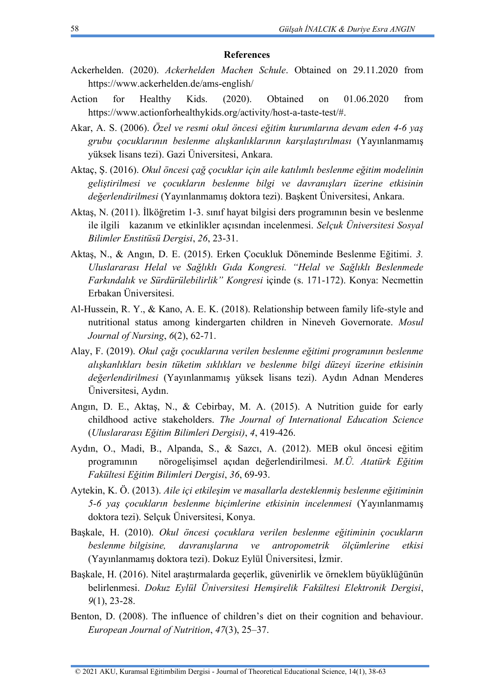#### **References**

- Ackerhelden. (2020). *Ackerhelden Machen Schule*. Obtained on 29.11.2020 from https://www.ackerhelden.de/ams-english/
- Action for Healthy Kids. (2020). Obtained on 01.06.2020 from https://www.actionforhealthykids.org/activity/host-a-taste-test/#.
- Akar, A. S. (2006). *Özel ve resmi okul öncesi eğitim kurumlarına devam eden 4-6 yaş grubu çocuklarının beslenme alışkanlıklarının karşılaştırılması* (Yayınlanmamış yüksek lisans tezi). Gazi Üniversitesi, Ankara.
- Aktaç, Ş. (2016). *Okul öncesi çağ çocuklar için aile katılımlı beslenme eğitim modelinin geliştirilmesi ve çocukların beslenme bilgi ve davranışları üzerine etkisinin değerlendirilmesi* (Yayınlanmamış doktora tezi). Başkent Üniversitesi, Ankara.
- Aktaş, N. (2011). İlköğretim 1-3. sınıf hayat bilgisi ders programının besin ve beslenme ile ilgili kazanım ve etkinlikler açısından incelenmesi. *Selçuk Üniversitesi Sosyal Bilimler Enstitüsü Dergisi*, *26*, 23-31.
- Aktaş, N., & Angın, D. E. (2015). Erken Çocukluk Döneminde Beslenme Eğitimi. *3. Uluslararası Helal ve Sağlıklı Gıda Kongresi. "Helal ve Sağlıklı Beslenmede Farkındalık ve Sürdürülebilirlik" Kongresi* içinde (s. 171-172). Konya: Necmettin Erbakan Üniversitesi.
- Al-Hussein, R. Y., & Kano, A. E. K. (2018). Relationship between family life-style and nutritional status among kindergarten children in Nineveh Governorate. *Mosul Journal of Nursing*, *6*(2), 62-71.
- Alay, F. (2019). *Okul çağı çocuklarına verilen beslenme eğitimi programının beslenme alışkanlıkları besin tüketim sıklıkları ve beslenme bilgi düzeyi üzerine etkisinin değerlendirilmesi* (Yayınlanmamış yüksek lisans tezi). Aydın Adnan Menderes Üniversitesi, Aydın.
- Angın, D. E., Aktaş, N., & Cebirbay, M. A. (2015). A Nutrition guide for early childhood active stakeholders. *The Journal of International Education Science* (*Uluslararası Eğitim Bilimleri Dergisi)*, *4*, 419-426.
- Aydın, O., Madi, B., Alpanda, S., & Sazcı, A. (2012). MEB okul öncesi eğitim programının nörogelişimsel açıdan değerlendirilmesi. *M.Ü. Atatürk Eğitim Fakültesi Eğitim Bilimleri Dergisi*, *36*, 69-93.
- Aytekin, K. Ö. (2013). *Aile içi etkileşim ve masallarla desteklenmiş beslenme eğitiminin 5-6 yaş çocukların beslenme biçimlerine etkisinin incelenmesi* (Yayınlanmamış doktora tezi). Selçuk Üniversitesi, Konya.
- Başkale, H. (2010). *Okul öncesi çocuklara verilen beslenme eğitiminin çocukların beslenme bilgisine, davranışlarına ve antropometrik ölçümlerine etkisi* (Yayınlanmamış doktora tezi). Dokuz Eylül Üniversitesi, İzmir.
- Başkale, H. (2016). Nitel araştırmalarda geçerlik, güvenirlik ve örneklem büyüklüğünün belirlenmesi. *Dokuz Eylül Üniversitesi Hemşirelik Fakültesi Elektronik Dergisi*, *9*(1), 23-28.
- Benton, D. (2008). The influence of children's diet on their cognition and behaviour. *European Journal of Nutrition*, *47*(3), 25–37.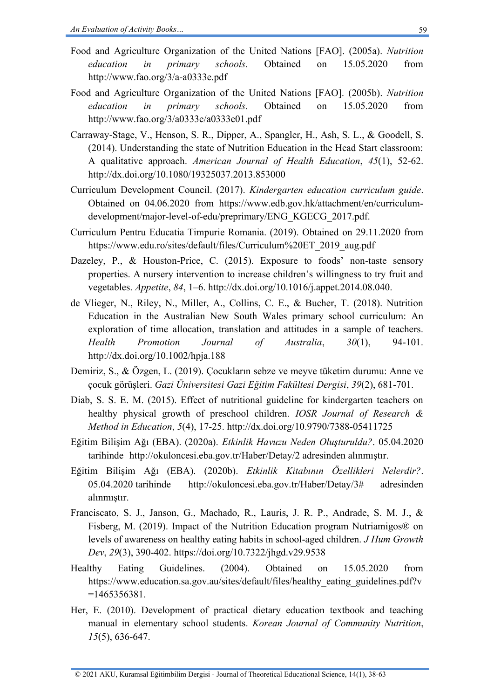- Food and Agriculture Organization of the United Nations [FAO]. (2005a). *Nutrition education in primary schools.* Obtained on 15.05.2020 from http://www.fao.org/3/a-a0333e.pdf
- Food and Agriculture Organization of the United Nations [FAO]. (2005b). *Nutrition education in primary schools.* Obtained on 15.05.2020 from <http://www.fao.org/3/a0333e/a0333e01.pdf>
- Carraway-Stage, V., Henson, S. R., Dipper, A., Spangler, H., Ash, S. L., & Goodell, S. (2014). Understanding the state of Nutrition Education in the Head Start classroom: A qualitative approach. *American Journal of Health Education*, *45*(1), 52-62. http://dx.doi.org/10.1080/19325037.2013.853000
- Curriculum Development Council. (2017). *Kindergarten education curriculum guide*. Obtained on 04.06.2020 from https://www.edb.gov.hk/attachment/en/curriculumdevelopment/major-level-of-edu/preprimary/ENG\_KGECG\_2017.pdf.
- Curriculum Pentru Educatia Timpurie Romania. (2019). Obtained on 29.11.2020 from https://www.edu.ro/sites/default/files/Curriculum%20ET\_2019\_aug.pdf
- Dazeley, P., & Houston-Price, C. (2015). Exposure to foods' non-taste sensory properties. A nursery intervention to increase children's willingness to try fruit and vegetables. *Appetite*, *84*, 1–6. http://dx.doi.org/10.1016/j.appet.2014.08.040.
- de Vlieger, N., Riley, N., Miller, A., Collins, C. E., & Bucher, T. (2018). Nutrition Education in the Australian New South Wales primary school curriculum: An exploration of time allocation, translation and attitudes in a sample of teachers. *Health Promotion Journal of Australia*, *30*(1), 94-101. http://dx.doi.org/10.1002/hpja.188
- Demiriz, S., & Özgen, L. (2019). Çocukların sebze ve meyve tüketim durumu: Anne ve çocuk görüşleri. *Gazi Üniversitesi Gazi Eğitim Fakültesi Dergisi*, *39*(2), 681-701.
- Diab, S. S. E. M. (2015). Effect of nutritional guideline for kindergarten teachers on healthy physical growth of preschool children. *IOSR Journal of Research & Method in Education*, *5*(4), 17-25. http://dx.doi.org/10.9790/7388-05411725
- Eğitim Bilişim Ağı (EBA). (2020a). *Etkinlik Havuzu Neden Oluşturuldu?*. 05.04.2020 tarihinde http://okuloncesi.eba.gov.tr/Haber/Detay/2 adresinden alınmıştır.
- Eğitim Bilişim Ağı (EBA). (2020b). *Etkinlik Kitabının Özellikleri Nelerdir?*. 05.04.2020 tarihinde http://okuloncesi.eba.gov.tr/Haber/Detay/3# adresinden alınmıştır.
- Franciscato, S. J., Janson, G., Machado, R., Lauris, J. R. P., Andrade, S. M. J., & Fisberg, M. (2019). Impact of the Nutrition Education program Nutriamigos® on levels of awareness on healthy eating habits in school-aged children. *J Hum Growth Dev*, *29*(3), 390-402. https://doi.org/10.7322/jhgd.v29.9538
- Healthy Eating Guidelines. (2004). Obtained on 15.05.2020 from [https://www.education.sa.gov.au/sites/default/files/healthy\\_eating\\_guidelines.pdf?v](https://www.education.sa.gov.au/sites/default/files/healthy_eating_guidelines.pdf?v=1465356381) [=1465356381.](https://www.education.sa.gov.au/sites/default/files/healthy_eating_guidelines.pdf?v=1465356381)
- Her, E. (2010). Development of practical dietary education textbook and teaching manual in elementary school students. *Korean Journal of Community Nutrition*, *15*(5), 636-647.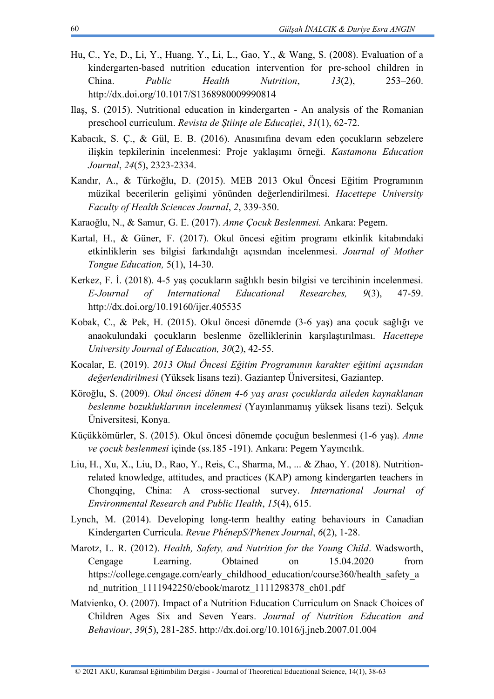- Hu, C., Ye, D., Li, Y., Huang, Y., Li, L., Gao, Y., & Wang, S. (2008). Evaluation of a kindergarten-based nutrition education intervention for pre-school children in China. *Public Health Nutrition*, *13*(2), 253–260. http://dx.doi.org/10.1017/S1368980009990814
- Ilaş, S. (2015). Nutritional education in kindergarten An analysis of the Romanian preschool curriculum. *Revista de Științe ale Educației*, *31*(1), 62-72.
- Kabacık, S. Ç., & Gül, E. B. (2016). Anasınıfına devam eden çocukların sebzelere ilişkin tepkilerinin incelenmesi: Proje yaklaşımı örneği. *Kastamonu Education Journal*, *24*(5), 2323-2334.
- Kandır, A., & Türkoğlu, D. (2015). MEB 2013 Okul Öncesi Eğitim Programının müzikal becerilerin gelişimi yönünden değerlendirilmesi. *Hacettepe University Faculty of Health Sciences Journal*, *2*, 339-350.
- Karaoğlu, N., & Samur, G. E. (2017). *Anne Çocuk Beslenmesi.* Ankara: Pegem.
- Kartal, H., & Güner, F. (2017). Okul öncesi eğitim programı etkinlik kitabındaki etkinliklerin ses bilgisi farkındalığı açısından incelenmesi. *Journal of Mother Tongue Education,* 5(1), 14-30.
- Kerkez, F. İ. (2018). 4-5 yaş çocukların sağlıklı besin bilgisi ve tercihinin incelenmesi. *E-Journal of International Educational Researches, 9*(3), 47-59. http://dx.doi.org/10.19160/ijer.405535
- Kobak, C., & Pek, H. (2015). Okul öncesi dönemde (3-6 yaş) ana çocuk sağlığı ve anaokulundaki çocukların beslenme özelliklerinin karşılaştırılması. *Hacettepe University Journal of Education, 30*(2), 42-55.
- Kocalar, E. (2019). *2013 Okul Öncesi Eğitim Programının karakter eğitimi açısından değerlendirilmesi* (Yüksek lisans tezi). Gaziantep Üniversitesi, Gaziantep.
- Köroğlu, S. (2009). *Okul öncesi dönem 4-6 yaş arası çocuklarda aileden kaynaklanan beslenme bozukluklarının incelenmesi* (Yayınlanmamış yüksek lisans tezi). Selçuk Üniversitesi, Konya.
- Küçükkömürler, S. (2015). Okul öncesi dönemde çocuğun beslenmesi (1-6 yaş). *Anne ve çocuk beslenmesi* içinde (ss.185 -191). Ankara: Pegem Yayıncılık.
- Liu, H., Xu, X., Liu, D., Rao, Y., Reis, C., Sharma, M., ... & Zhao, Y. (2018). Nutritionrelated knowledge, attitudes, and practices (KAP) among kindergarten teachers in Chongqing, China: A cross-sectional survey. *International Journal of Environmental Research and Public Health*, *15*(4), 615.
- Lynch, M. (2014). Developing long-term healthy eating behaviours in Canadian Kindergarten Curricula. *Revue PhénepS/Phenex Journal*, *6*(2), 1-28.
- Marotz, L. R. (2012). *Health, Safety, and Nutrition for the Young Child*. Wadsworth, Cengage Learning. Obtained on 15.04.2020 from [https://college.cengage.com/early\\_childhood\\_education/course360/health\\_safety\\_a](https://college.cengage.com/early_childhood_education/course360/health_safety_and_nutrition_1111942250/ebook/marotz_1111298378_ch01.pdf) [nd\\_nutrition\\_1111942250/ebook/marotz\\_1111298378\\_ch01.pdf](https://college.cengage.com/early_childhood_education/course360/health_safety_and_nutrition_1111942250/ebook/marotz_1111298378_ch01.pdf)
- Matvienko, O. (2007). Impact of a Nutrition Education Curriculum on Snack Choices of Children Ages Six and Seven Years. *Journal of Nutrition Education and Behaviour*, *39*(5), 281-285. http://dx.doi.org/10.1016/j.jneb.2007.01.004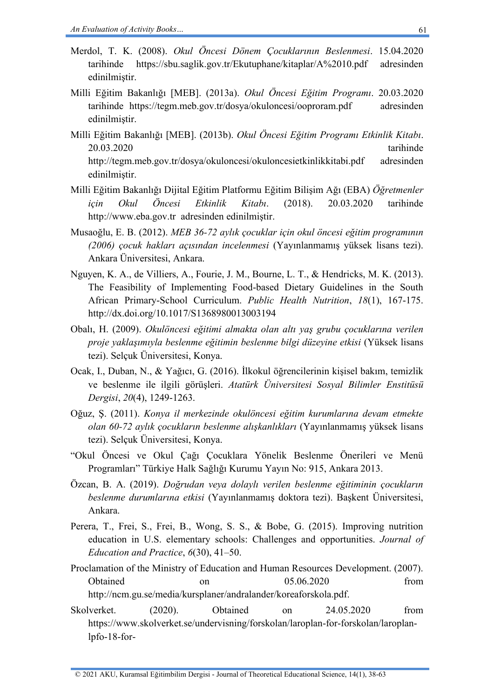- Merdol, T. K. (2008). *Okul Öncesi Dönem Çocuklarının Beslenmesi*. 15.04.2020 tarihinde https://sbu.saglik.gov.tr/Ekutuphane/kitaplar/A%2010.pdf adresinden edinilmiştir.
- Milli Eğitim Bakanlığı [MEB]. (2013a). *Okul Öncesi Eğitim Programı*. 20.03.2020 tarihinde <https://tegm.meb.gov.tr/dosya/okuloncesi/ooproram.pdf> adresinden edinilmiştir.
- Milli Eğitim Bakanlığı [MEB]. (2013b). *Okul Öncesi Eğitim Programı Etkinlik Kitabı*. 20.03.2020 tarihinde <http://tegm.meb.gov.tr/dosya/okuloncesi/okuloncesietkinlikkitabi.pdf> adresinden edinilmiştir.
- Milli Eğitim Bakanlığı Dijital Eğitim Platformu Eğitim Bilişim Ağı (EBA) *Öğretmenler için Okul Öncesi Etkinlik Kitabı*. (2018). 20.03.2020 tarihinde [http://www.eba.gov.tr](http://www.eba.gov.tr/) adresinden edinilmiştir.
- Musaoğlu, E. B. (2012). *MEB 36-72 aylık çocuklar için okul öncesi eğitim programının (2006) çocuk hakları açısından incelenmesi* (Yayınlanmamış yüksek lisans tezi). Ankara Üniversitesi, Ankara.
- Nguyen, K. A., de Villiers, A., Fourie, J. M., Bourne, L. T., & Hendricks, M. K. (2013). The Feasibility of Implementing Food-based Dietary Guidelines in the South African Primary-School Curriculum. *Public Health Nutrition*, *18*(1), 167-175. http://dx.doi.org/10.1017/S1368980013003194
- Obalı, H. (2009). *Okulöncesi eğitimi almakta olan altı yaş grubu çocuklarına verilen proje yaklaşımıyla beslenme eğitimin beslenme bilgi düzeyine etkisi* (Yüksek lisans tezi). Selçuk Üniversitesi, Konya.
- Ocak, I., Duban, N., & Yağıcı, G. (2016). İlkokul öğrencilerinin kişisel bakım, temizlik ve beslenme ile ilgili görüşleri. *Atatürk Üniversitesi Sosyal Bilimler Enstitüsü Dergisi*, *20*(4), 1249-1263.
- Oğuz, Ş. (2011). *Konya il merkezinde okulöncesi eğitim kurumlarına devam etmekte olan 60-72 aylık çocukların beslenme alışkanlıkları* (Yayınlanmamış yüksek lisans tezi). Selçuk Üniversitesi, Konya.
- "Okul Öncesi ve Okul Çağı Çocuklara Yönelik Beslenme Önerileri ve Menü Programları" Türkiye Halk Sağlığı Kurumu Yayın No: 915, Ankara 2013.
- Özcan, B. A. (2019). *Doğrudan veya dolaylı verilen beslenme eğitiminin çocukların beslenme durumlarına etkisi* (Yayınlanmamış doktora tezi). Başkent Üniversitesi, Ankara.
- Perera, T., Frei, S., Frei, B., Wong, S. S., & Bobe, G. (2015). Improving nutrition education in U.S. elementary schools: Challenges and opportunities. *Journal of Education and Practice*, *6*(30), 41–50.

Proclamation of the Ministry of Education and Human Resources Development. (2007). Obtained on 05.06.2020 from [http://ncm.gu.se/media/kursplaner/andralander/koreaforskola.pdf.](http://ncm.gu.se/media/kursplaner/andralander/koreaforskola.pdf)

Skolverket. (2020). Obtained on 24.05.2020 from https://www.skolverket.se/undervisning/forskolan/laroplan-for-forskolan/laroplanlpfo-18-for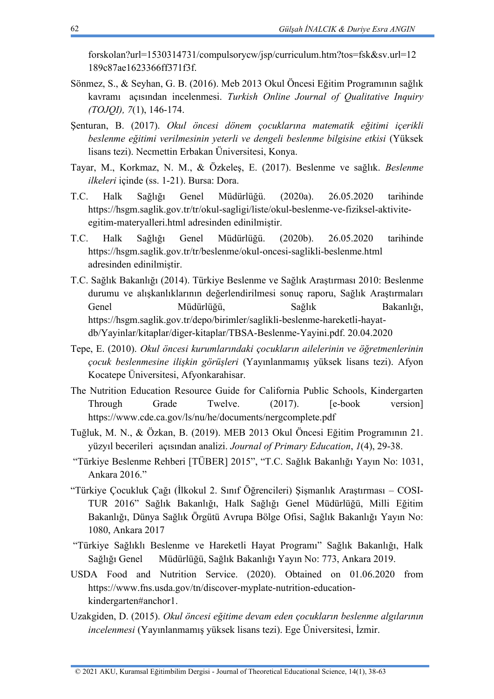forskolan?url=1530314731/compulsorycw/jsp/curriculum.htm?tos=fsk&sv.url=12 189c87ae1623366ff371f3f.

- Sönmez, S., & Seyhan, G. B. (2016). Meb 2013 Okul Öncesi Eğitim Programının sağlık kavramı açısından incelenmesi. *Turkish Online Journal of Qualitative Inquiry (TOJQI), 7*(1), 146-174.
- Şenturan, B. (2017). *Okul öncesi dönem çocuklarına matematik eğitimi içerikli beslenme eğitimi verilmesinin yeterli ve dengeli beslenme bilgisine etkisi* (Yüksek lisans tezi). Necmettin Erbakan Üniversitesi, Konya.
- Tayar, M., Korkmaz, N. M., & Özkeleş, E. (2017). Beslenme ve sağlık. *Beslenme ilkeleri* içinde (ss. 1-21). Bursa: Dora.
- T.C. Halk Sağlığı Genel Müdürlüğü. (2020a). 26.05.2020 tarihinde https://hsgm.saglik.gov.tr/tr/okul-sagligi/liste/okul-beslenme-ve-fiziksel-aktiviteegitim-materyalleri.html adresinden edinilmiştir.
- T.C. Halk Sağlığı Genel Müdürlüğü. (2020b). 26.05.2020 tarihinde <https://hsgm.saglik.gov.tr/tr/beslenme/okul-oncesi-saglikli-beslenme.html> adresinden edinilmiştir.
- T.C. Sağlık Bakanlığı (2014). Türkiye Beslenme ve Sağlık Araştırması 2010: Beslenme durumu ve alışkanlıklarının değerlendirilmesi sonuç raporu, Sağlık Araştırmaları Genel Müdürlüğü, Sağlık Bakanlığı, [https://hsgm.saglik.gov.tr/depo/birimler/saglikli-beslenme-hareketli-hayat](https://hsgm.saglik.gov.tr/depo/birimler/saglikli-beslenme-hareketli-hayat-db/Yayinlar/kitaplar/diger-kitaplar/TBSA-Beslenme-Yayini.pdf)[db/Yayinlar/kitaplar/diger-kitaplar/TBSA-Beslenme-Yayini.pdf.](https://hsgm.saglik.gov.tr/depo/birimler/saglikli-beslenme-hareketli-hayat-db/Yayinlar/kitaplar/diger-kitaplar/TBSA-Beslenme-Yayini.pdf) 20.04.2020
- Tepe, E. (2010). *Okul öncesi kurumlarındaki çocukların ailelerinin ve öğretmenlerinin çocuk beslenmesine ilişkin görüşleri* (Yayınlanmamış yüksek lisans tezi). Afyon Kocatepe Üniversitesi, Afyonkarahisar.
- The Nutrition Education Resource Guide for California Public Schools, Kindergarten Through Grade Twelve. (2017). [e-book version] https://www.cde.ca.gov/ls/nu/he/documents/nergcomplete.pdf
- Tuğluk, M. N., & Özkan, B. (2019). MEB 2013 Okul Öncesi Eğitim Programının 21. yüzyıl becerileri açısından analizi. *Journal of Primary Education*, *1*(4), 29-38.
- "Türkiye Beslenme Rehberi [TÜBER] 2015", "T.C. Sağlık Bakanlığı Yayın No: 1031, Ankara 2016."
- "Türkiye Çocukluk Çağı (İlkokul 2. Sınıf Öğrencileri) Şişmanlık Araştırması COSI-TUR 2016" Sağlık Bakanlığı, Halk Sağlığı Genel Müdürlüğü, Milli Eğitim Bakanlığı, Dünya Sağlık Örgütü Avrupa Bölge Ofisi, Sağlık Bakanlığı Yayın No: 1080, Ankara 2017
- "Türkiye Sağlıklı Beslenme ve Hareketli Hayat Programı" Sağlık Bakanlığı, Halk Sağlığı Genel Müdürlüğü, Sağlık Bakanlığı Yayın No: 773, Ankara 2019.
- USDA Food and Nutrition Service. (2020). Obtained on 01.06.2020 from [https://www.fns.usda.gov/tn/discover-myplate-nutrition-education](https://www.fns.usda.gov/tn/discover-myplate-nutrition-education-kindergarten#anchor1)[kindergarten#anchor1.](https://www.fns.usda.gov/tn/discover-myplate-nutrition-education-kindergarten#anchor1)
- Uzakgiden, D. (2015). *Okul öncesi eğitime devam eden çocukların beslenme algılarının incelenmesi* (Yayınlanmamış yüksek lisans tezi). Ege Üniversitesi, İzmir.